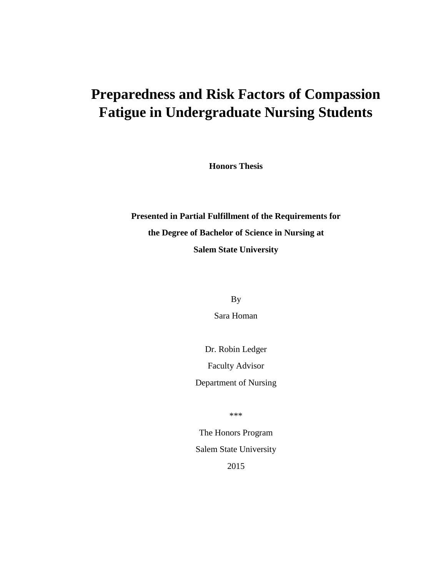# **Preparedness and Risk Factors of Compassion Fatigue in Undergraduate Nursing Students**

**Honors Thesis**

**Presented in Partial Fulfillment of the Requirements for the Degree of Bachelor of Science in Nursing at Salem State University**

By

Sara Homan

Dr. Robin Ledger Faculty Advisor Department of Nursing

\*\*\*

The Honors Program Salem State University 2015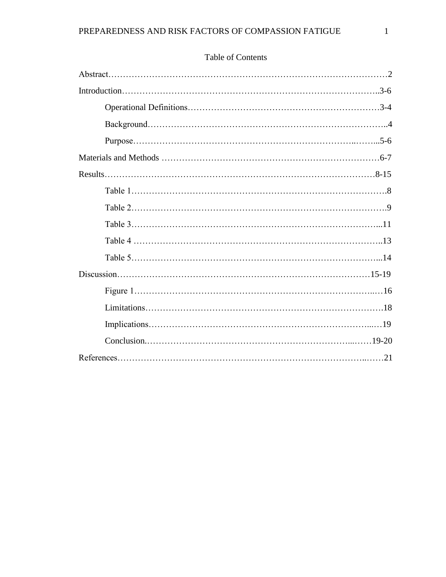# Table of Contents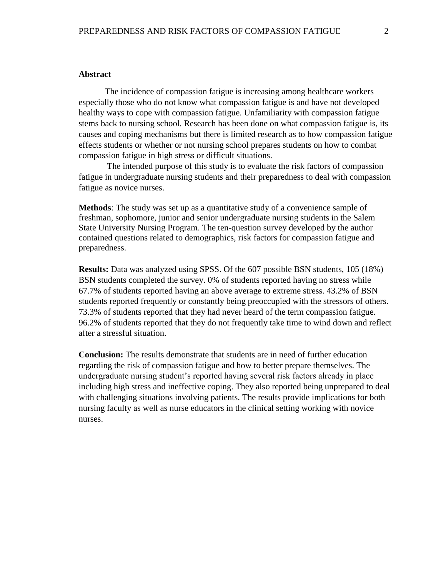## **Abstract**

The incidence of compassion fatigue is increasing among healthcare workers especially those who do not know what compassion fatigue is and have not developed healthy ways to cope with compassion fatigue. Unfamiliarity with compassion fatigue stems back to nursing school. Research has been done on what compassion fatigue is, its causes and coping mechanisms but there is limited research as to how compassion fatigue effects students or whether or not nursing school prepares students on how to combat compassion fatigue in high stress or difficult situations.

The intended purpose of this study is to evaluate the risk factors of compassion fatigue in undergraduate nursing students and their preparedness to deal with compassion fatigue as novice nurses.

**Methods**: The study was set up as a quantitative study of a convenience sample of freshman, sophomore, junior and senior undergraduate nursing students in the Salem State University Nursing Program. The ten-question survey developed by the author contained questions related to demographics, risk factors for compassion fatigue and preparedness.

**Results:** Data was analyzed using SPSS. Of the 607 possible BSN students, 105 (18%) BSN students completed the survey. 0% of students reported having no stress while 67.7% of students reported having an above average to extreme stress. 43.2% of BSN students reported frequently or constantly being preoccupied with the stressors of others. 73.3% of students reported that they had never heard of the term compassion fatigue. 96.2% of students reported that they do not frequently take time to wind down and reflect after a stressful situation.

**Conclusion:** The results demonstrate that students are in need of further education regarding the risk of compassion fatigue and how to better prepare themselves. The undergraduate nursing student's reported having several risk factors already in place including high stress and ineffective coping. They also reported being unprepared to deal with challenging situations involving patients. The results provide implications for both nursing faculty as well as nurse educators in the clinical setting working with novice nurses.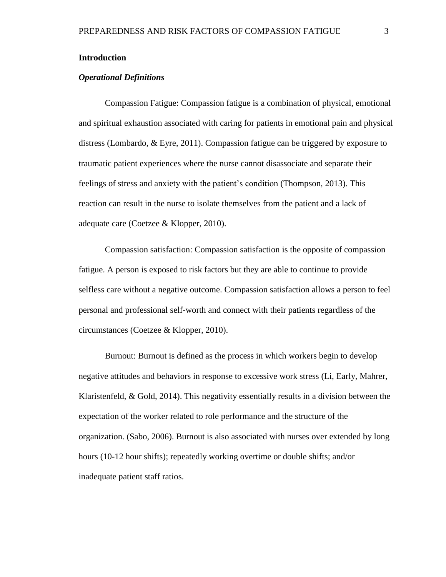## **Introduction**

## *Operational Definitions*

Compassion Fatigue: Compassion fatigue is a combination of physical, emotional and spiritual exhaustion associated with caring for patients in emotional pain and physical distress (Lombardo, & Eyre, 2011). Compassion fatigue can be triggered by exposure to traumatic patient experiences where the nurse cannot disassociate and separate their feelings of stress and anxiety with the patient's condition (Thompson, 2013). This reaction can result in the nurse to isolate themselves from the patient and a lack of adequate care (Coetzee & Klopper, 2010).

Compassion satisfaction: Compassion satisfaction is the opposite of compassion fatigue. A person is exposed to risk factors but they are able to continue to provide selfless care without a negative outcome. Compassion satisfaction allows a person to feel personal and professional self-worth and connect with their patients regardless of the circumstances (Coetzee & Klopper, 2010).

Burnout: Burnout is defined as the process in which workers begin to develop negative attitudes and behaviors in response to excessive work stress (Li, Early, Mahrer, Klaristenfeld,  $&$  Gold, 2014). This negativity essentially results in a division between the expectation of the worker related to role performance and the structure of the organization. (Sabo, 2006). Burnout is also associated with nurses over extended by long hours (10-12 hour shifts); repeatedly working overtime or double shifts; and/or inadequate patient staff ratios.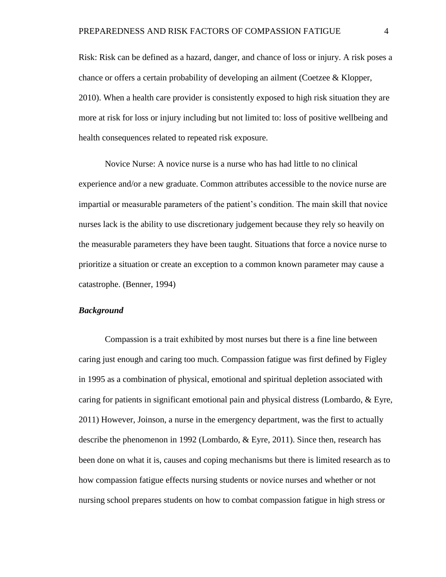Risk: Risk can be defined as a hazard, danger, and chance of loss or injury. A risk poses a chance or offers a certain probability of developing an ailment (Coetzee & Klopper, 2010). When a health care provider is consistently exposed to high risk situation they are more at risk for loss or injury including but not limited to: loss of positive wellbeing and health consequences related to repeated risk exposure.

Novice Nurse: A novice nurse is a nurse who has had little to no clinical experience and/or a new graduate. Common attributes accessible to the novice nurse are impartial or measurable parameters of the patient's condition. The main skill that novice nurses lack is the ability to use discretionary judgement because they rely so heavily on the measurable parameters they have been taught. Situations that force a novice nurse to prioritize a situation or create an exception to a common known parameter may cause a catastrophe. (Benner, 1994)

#### *Background*

Compassion is a trait exhibited by most nurses but there is a fine line between caring just enough and caring too much. Compassion fatigue was first defined by Figley in 1995 as a combination of physical, emotional and spiritual depletion associated with caring for patients in significant emotional pain and physical distress (Lombardo, & Eyre, 2011) However, Joinson, a nurse in the emergency department, was the first to actually describe the phenomenon in 1992 (Lombardo, & Eyre, 2011). Since then, research has been done on what it is, causes and coping mechanisms but there is limited research as to how compassion fatigue effects nursing students or novice nurses and whether or not nursing school prepares students on how to combat compassion fatigue in high stress or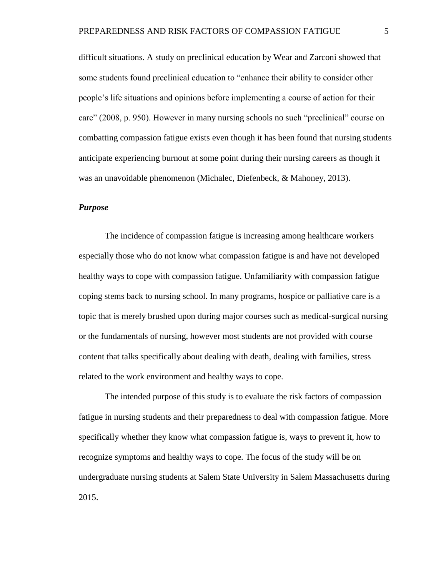difficult situations. A study on preclinical education by Wear and Zarconi showed that some students found preclinical education to "enhance their ability to consider other people's life situations and opinions before implementing a course of action for their care" (2008, p. 950). However in many nursing schools no such "preclinical" course on combatting compassion fatigue exists even though it has been found that nursing students anticipate experiencing burnout at some point during their nursing careers as though it was an unavoidable phenomenon (Michalec, Diefenbeck, & Mahoney, 2013).

#### *Purpose*

The incidence of compassion fatigue is increasing among healthcare workers especially those who do not know what compassion fatigue is and have not developed healthy ways to cope with compassion fatigue. Unfamiliarity with compassion fatigue coping stems back to nursing school. In many programs, hospice or palliative care is a topic that is merely brushed upon during major courses such as medical-surgical nursing or the fundamentals of nursing, however most students are not provided with course content that talks specifically about dealing with death, dealing with families, stress related to the work environment and healthy ways to cope.

The intended purpose of this study is to evaluate the risk factors of compassion fatigue in nursing students and their preparedness to deal with compassion fatigue. More specifically whether they know what compassion fatigue is, ways to prevent it, how to recognize symptoms and healthy ways to cope. The focus of the study will be on undergraduate nursing students at Salem State University in Salem Massachusetts during 2015.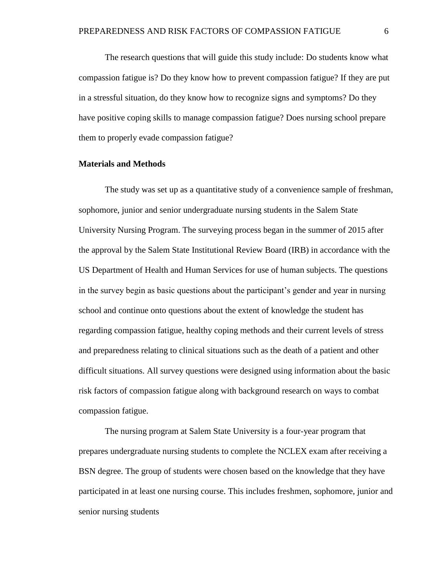The research questions that will guide this study include: Do students know what compassion fatigue is? Do they know how to prevent compassion fatigue? If they are put in a stressful situation, do they know how to recognize signs and symptoms? Do they have positive coping skills to manage compassion fatigue? Does nursing school prepare them to properly evade compassion fatigue?

## **Materials and Methods**

The study was set up as a quantitative study of a convenience sample of freshman, sophomore, junior and senior undergraduate nursing students in the Salem State University Nursing Program. The surveying process began in the summer of 2015 after the approval by the Salem State Institutional Review Board (IRB) in accordance with the US Department of Health and Human Services for use of human subjects. The questions in the survey begin as basic questions about the participant's gender and year in nursing school and continue onto questions about the extent of knowledge the student has regarding compassion fatigue, healthy coping methods and their current levels of stress and preparedness relating to clinical situations such as the death of a patient and other difficult situations. All survey questions were designed using information about the basic risk factors of compassion fatigue along with background research on ways to combat compassion fatigue.

The nursing program at Salem State University is a four-year program that prepares undergraduate nursing students to complete the NCLEX exam after receiving a BSN degree. The group of students were chosen based on the knowledge that they have participated in at least one nursing course. This includes freshmen, sophomore, junior and senior nursing students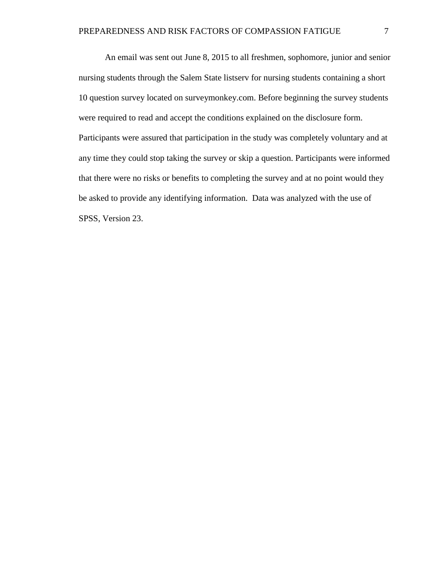An email was sent out June 8, 2015 to all freshmen, sophomore, junior and senior nursing students through the Salem State listserv for nursing students containing a short 10 question survey located on surveymonkey.com. Before beginning the survey students were required to read and accept the conditions explained on the disclosure form. Participants were assured that participation in the study was completely voluntary and at any time they could stop taking the survey or skip a question. Participants were informed that there were no risks or benefits to completing the survey and at no point would they be asked to provide any identifying information. Data was analyzed with the use of SPSS, Version 23.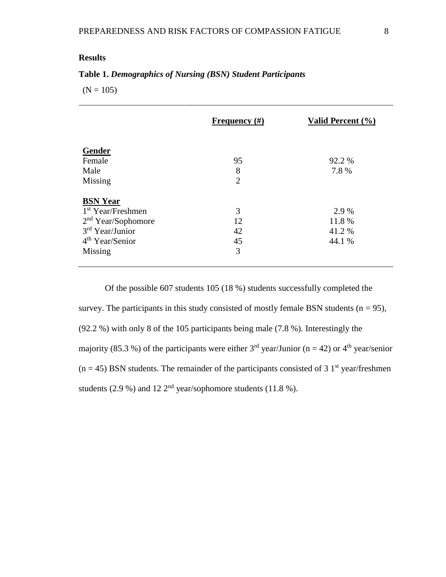# **Results**

# **Table 1.** *Demographics of Nursing (BSN) Student Participants*

 $(N = 105)$ 

|                                                               | Frequency $(\#)$    | Valid Percent (%) |
|---------------------------------------------------------------|---------------------|-------------------|
| Gender<br>Female                                              | 95                  | 92.2 %            |
| Male<br>Missing                                               | 8<br>$\overline{2}$ | 7.8%              |
| <b>BSN Year</b><br>1 <sup>st</sup> Year/Freshmen              | 3                   | 2.9 %             |
| 2 <sup>nd</sup> Year/Sophonore<br>3 <sup>rd</sup> Year/Junior | 12<br>42            | 11.8 %<br>41.2 %  |
| 4 <sup>th</sup> Year/Senior<br>Missing                        | 45<br>3             | 44.1 %            |

Of the possible 607 students 105 (18 %) students successfully completed the survey. The participants in this study consisted of mostly female BSN students ( $n = 95$ ), (92.2 %) with only 8 of the 105 participants being male (7.8 %). Interestingly the majority (85.3 %) of the participants were either  $3<sup>rd</sup>$  year/Junior (n = 42) or 4<sup>th</sup> year/senior  $(n = 45)$  BSN students. The remainder of the participants consisted of 3 1<sup>st</sup> year/freshmen students (2.9 %) and 12  $2<sup>nd</sup>$  year/sophomore students (11.8 %).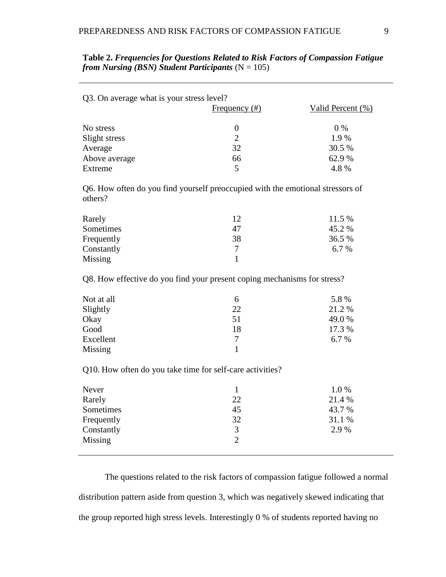| Q3. On average what is your stress level? |                  |                   |  |
|-------------------------------------------|------------------|-------------------|--|
|                                           | Frequency $(\#)$ | Valid Percent (%) |  |
|                                           |                  |                   |  |
| No stress                                 | $\theta$         | $0\%$             |  |
| Slight stress                             | $\mathcal{D}$    | 1.9%              |  |
| Average                                   | 32               | 30.5 %            |  |
| Above average                             | 66               | 62.9 %            |  |
| Extreme                                   | 5                | 4.8%              |  |

| Table 2. Frequencies for Questions Related to Risk Factors of Compassion Fatigue |  |
|----------------------------------------------------------------------------------|--|
| from Nursing (BSN) Student Participants ( $N = 105$ )                            |  |

Q6. How often do you find yourself preoccupied with the emotional stressors of others?

| Rarely     | 12 | 11.5 %  |
|------------|----|---------|
| Sometimes  | 47 | 45.2 %  |
| Frequently | 38 | 36.5 %  |
| Constantly |    | $6.7\%$ |
| Missing    |    |         |

Q8. How effective do you find your present coping mechanisms for stress?

| Not at all | 6  | 5.8 %  |
|------------|----|--------|
| Slightly   | 22 | 21.2 % |
| Okay       | 51 | 49.0 % |
| Good       | 18 | 17.3 % |
| Excellent  | 7  | 6.7 %  |
| Missing    |    |        |

Q10. How often do you take time for self-care activities?

| Never      |    | 1.0%   |
|------------|----|--------|
| Rarely     | 22 | 21.4 % |
| Sometimes  | 45 | 43.7 % |
| Frequently | 32 | 31.1 % |
| Constantly | 3  | 2.9 %  |
| Missing    |    |        |

The questions related to the risk factors of compassion fatigue followed a normal distribution pattern aside from question 3, which was negatively skewed indicating that the group reported high stress levels. Interestingly 0 % of students reported having no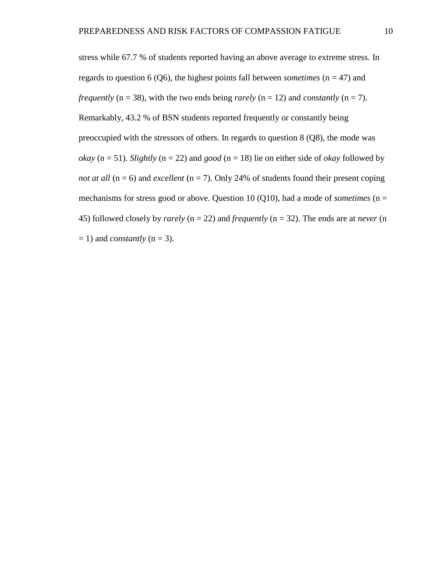stress while 67.7 % of students reported having an above average to extreme stress. In regards to question 6 (Q6), the highest points fall between *sometimes*  $(n = 47)$  and *frequently* ( $n = 38$ ), with the two ends being *rarely* ( $n = 12$ ) and *constantly* ( $n = 7$ ). Remarkably, 43.2 % of BSN students reported frequently or constantly being preoccupied with the stressors of others. In regards to question 8 (Q8), the mode was *okay* ( $n = 51$ ). *Slightly* ( $n = 22$ ) and *good* ( $n = 18$ ) lie on either side of *okay* followed by *not at all* ( $n = 6$ ) and *excellent* ( $n = 7$ ). Only 24% of students found their present coping mechanisms for stress good or above. Question 10 (Q10), had a mode of *sometimes* ( $n =$ 45) followed closely by *rarely* (n = 22) and *frequently* (n = 32). The ends are at *never* (n  $= 1$ ) and *constantly* (n = 3).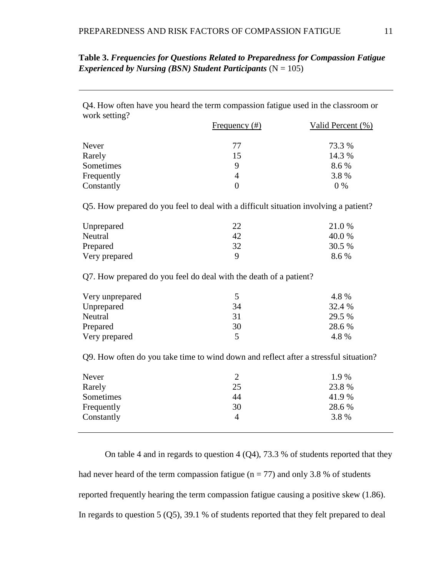| Table 3. Frequencies for Questions Related to Preparedness for Compassion Fatigue |  |
|-----------------------------------------------------------------------------------|--|
| <i>Experienced by Nursing (BSN) Student Participants (N = 105)</i>                |  |

Q4. How often have you heard the term compassion fatigue used in the classroom or work setting?

|            | Frequency $(\#)$ | Valid Percent (%) |
|------------|------------------|-------------------|
| Never      | 77               | 73.3 %            |
| Rarely     | 15               | 14.3 %            |
| Sometimes  | 9                | 8.6 %             |
| Frequently | 4                | 3.8%              |
| Constantly |                  | $0\%$             |

Q5. How prepared do you feel to deal with a difficult situation involving a patient?

| Unprepared    | າາ | 21.0 % |
|---------------|----|--------|
| Neutral       | 42 | 40.0 % |
| Prepared      | 32 | 30.5 % |
| Very prepared | Q  | 8.6 %  |

Q7. How prepared do you feel do deal with the death of a patient?

| Very unprepared |    | 4.8%   |
|-----------------|----|--------|
| Unprepared      | 34 | 32.4 % |
| Neutral         | 31 | 29.5 % |
| Prepared        | 30 | 28.6 % |
| Very prepared   |    | 4.8%   |

Q9. How often do you take time to wind down and reflect after a stressful situation?

| Never      |    | 1.9%  |
|------------|----|-------|
| Rarely     | 25 | 23.8% |
| Sometimes  | 44 | 41.9% |
| Frequently | 30 | 28.6% |
| Constantly | 4  | 3.8%  |
|            |    |       |

On table 4 and in regards to question 4 (Q4), 73.3 % of students reported that they had never heard of the term compassion fatigue ( $n = 77$ ) and only 3.8 % of students reported frequently hearing the term compassion fatigue causing a positive skew (1.86). In regards to question 5 (Q5), 39.1 % of students reported that they felt prepared to deal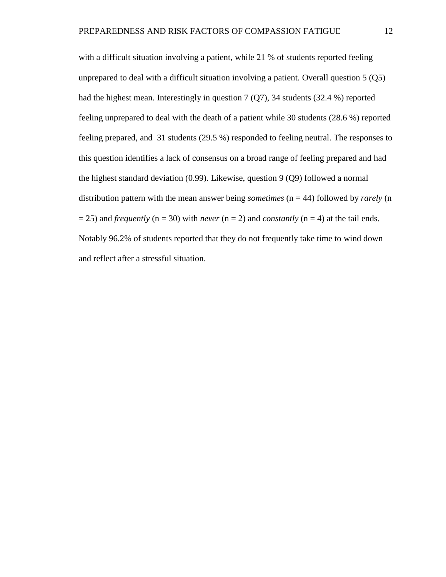with a difficult situation involving a patient, while 21 % of students reported feeling unprepared to deal with a difficult situation involving a patient. Overall question 5 (Q5) had the highest mean. Interestingly in question 7 (Q7), 34 students (32.4 %) reported feeling unprepared to deal with the death of a patient while 30 students (28.6 %) reported feeling prepared, and 31 students (29.5 %) responded to feeling neutral. The responses to this question identifies a lack of consensus on a broad range of feeling prepared and had the highest standard deviation (0.99). Likewise, question 9 (Q9) followed a normal distribution pattern with the mean answer being *sometimes* (n = 44) followed by *rarely* (n  $= 25$ ) and *frequently* (n = 30) with *never* (n = 2) and *constantly* (n = 4) at the tail ends. Notably 96.2% of students reported that they do not frequently take time to wind down and reflect after a stressful situation.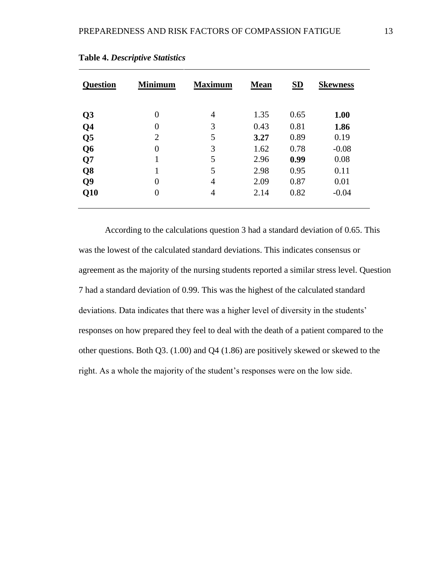| <b>Question</b> | <b>Minimum</b> | <b>Maximum</b> | <b>Mean</b> | S <sub>D</sub> | <b>Skewness</b> |
|-----------------|----------------|----------------|-------------|----------------|-----------------|
| Q <sub>3</sub>  | 0              | $\overline{4}$ | 1.35        | 0.65           | 1.00            |
| Q <sub>4</sub>  | $\theta$       | 3              | 0.43        | 0.81           | 1.86            |
| Q <sub>5</sub>  | $\overline{2}$ | 5              | 3.27        | 0.89           | 0.19            |
| Q <sub>6</sub>  | 0              | 3              | 1.62        | 0.78           | $-0.08$         |
| Q7              | 1<br>1         | 5              | 2.96        | 0.99           | 0.08            |
| Q <sub>8</sub>  |                | 5              | 2.98        | 0.95           | 0.11            |
| Q <sub>9</sub>  | 0              | $\overline{4}$ | 2.09        | 0.87           | 0.01            |
| Q10             | 0              | $\overline{4}$ | 2.14        | 0.82           | $-0.04$         |

**Table 4.** *Descriptive Statistics*

According to the calculations question 3 had a standard deviation of 0.65. This was the lowest of the calculated standard deviations. This indicates consensus or agreement as the majority of the nursing students reported a similar stress level. Question 7 had a standard deviation of 0.99. This was the highest of the calculated standard deviations. Data indicates that there was a higher level of diversity in the students' responses on how prepared they feel to deal with the death of a patient compared to the other questions. Both Q3. (1.00) and Q4 (1.86) are positively skewed or skewed to the right. As a whole the majority of the student's responses were on the low side.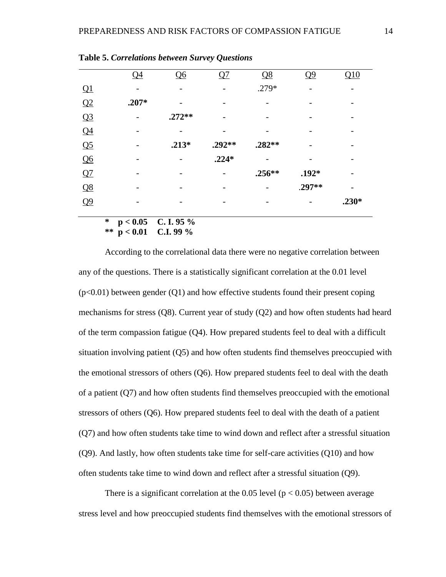|                | Q <sub>4</sub> | Q6       | Q7      | $\overline{\Omega}$ | Q <sub>9</sub> | Q10     |
|----------------|----------------|----------|---------|---------------------|----------------|---------|
| Q1             |                |          |         | .279*               |                |         |
| Q2             | $.207*$        |          |         |                     |                |         |
| Q <sub>3</sub> |                | $.272**$ |         |                     |                |         |
| Q <sub>4</sub> |                |          |         |                     |                |         |
| Q <sub>5</sub> |                | $.213*$  | .292**  | .282**              |                |         |
| Q6             |                |          | $.224*$ |                     |                |         |
| Q7             |                |          |         | $.256**$            | $.192*$        |         |
| Q8             |                |          |         |                     | .297**         |         |
| Q <sub>9</sub> |                |          |         |                     |                | $.230*$ |
|                |                |          |         |                     |                |         |

**Table 5.** *Correlations between Survey Questions*

**\* p < 0.05 C. I. 95 % \*\* p < 0.01 C.I. 99 %**

According to the correlational data there were no negative correlation between any of the questions. There is a statistically significant correlation at the 0.01 level  $(p<0.01)$  between gender  $(Q1)$  and how effective students found their present coping mechanisms for stress (Q8). Current year of study (Q2) and how often students had heard of the term compassion fatigue (Q4). How prepared students feel to deal with a difficult situation involving patient (Q5) and how often students find themselves preoccupied with the emotional stressors of others (Q6). How prepared students feel to deal with the death of a patient (Q7) and how often students find themselves preoccupied with the emotional stressors of others (Q6). How prepared students feel to deal with the death of a patient (Q7) and how often students take time to wind down and reflect after a stressful situation (Q9). And lastly, how often students take time for self-care activities (Q10) and how often students take time to wind down and reflect after a stressful situation (Q9).

There is a significant correlation at the 0.05 level ( $p < 0.05$ ) between average stress level and how preoccupied students find themselves with the emotional stressors of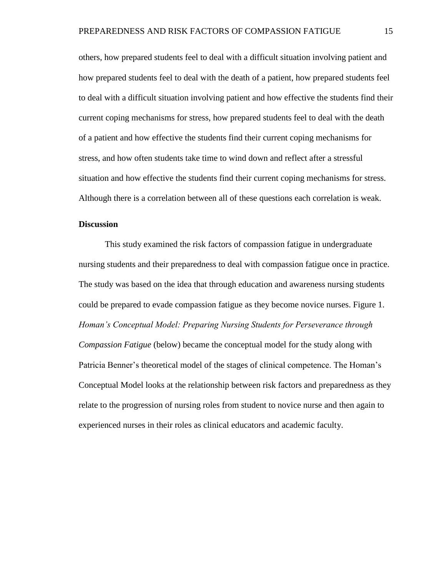others, how prepared students feel to deal with a difficult situation involving patient and how prepared students feel to deal with the death of a patient, how prepared students feel to deal with a difficult situation involving patient and how effective the students find their current coping mechanisms for stress, how prepared students feel to deal with the death of a patient and how effective the students find their current coping mechanisms for stress, and how often students take time to wind down and reflect after a stressful situation and how effective the students find their current coping mechanisms for stress. Although there is a correlation between all of these questions each correlation is weak.

# **Discussion**

This study examined the risk factors of compassion fatigue in undergraduate nursing students and their preparedness to deal with compassion fatigue once in practice. The study was based on the idea that through education and awareness nursing students could be prepared to evade compassion fatigue as they become novice nurses. Figure 1. *Homan's Conceptual Model: Preparing Nursing Students for Perseverance through Compassion Fatigue* (below) became the conceptual model for the study along with Patricia Benner's theoretical model of the stages of clinical competence. The Homan's Conceptual Model looks at the relationship between risk factors and preparedness as they relate to the progression of nursing roles from student to novice nurse and then again to experienced nurses in their roles as clinical educators and academic faculty.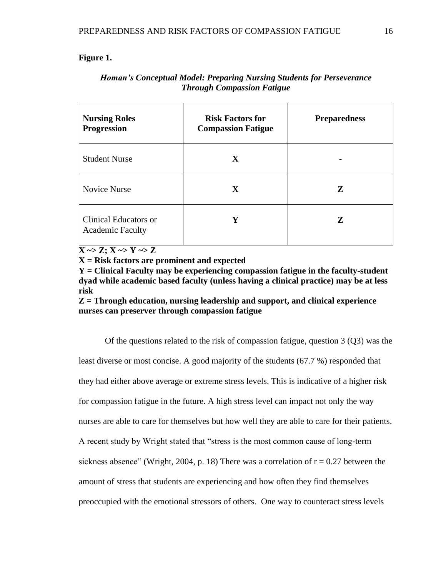# **Figure 1.**

| <b>Nursing Roles</b><br><b>Progression</b>       | <b>Risk Factors for</b><br><b>Compassion Fatigue</b> | <b>Preparedness</b> |
|--------------------------------------------------|------------------------------------------------------|---------------------|
| <b>Student Nurse</b>                             | X                                                    |                     |
| <b>Novice Nurse</b>                              | X                                                    | Z                   |
| Clinical Educators or<br><b>Academic Faculty</b> | Y                                                    | Z                   |

# *Homan's Conceptual Model: Preparing Nursing Students for Perseverance Through Compassion Fatigue*

 $X \sim Z; X \sim Y \sim Z$ 

**X = Risk factors are prominent and expected**

**Y = Clinical Faculty may be experiencing compassion fatigue in the faculty-student dyad while academic based faculty (unless having a clinical practice) may be at less risk**

**Z = Through education, nursing leadership and support, and clinical experience nurses can preserver through compassion fatigue**

Of the questions related to the risk of compassion fatigue, question  $3(03)$  was the least diverse or most concise. A good majority of the students (67.7 %) responded that they had either above average or extreme stress levels. This is indicative of a higher risk for compassion fatigue in the future. A high stress level can impact not only the way nurses are able to care for themselves but how well they are able to care for their patients. A recent study by Wright stated that "stress is the most common cause of long-term sickness absence" (Wright, 2004, p. 18) There was a correlation of  $r = 0.27$  between the amount of stress that students are experiencing and how often they find themselves preoccupied with the emotional stressors of others. One way to counteract stress levels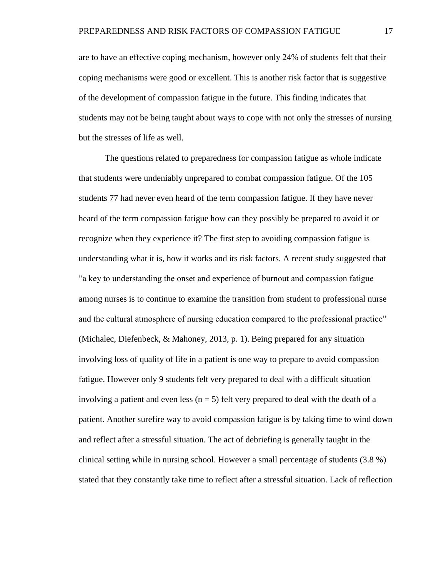are to have an effective coping mechanism, however only 24% of students felt that their coping mechanisms were good or excellent. This is another risk factor that is suggestive of the development of compassion fatigue in the future. This finding indicates that students may not be being taught about ways to cope with not only the stresses of nursing but the stresses of life as well.

The questions related to preparedness for compassion fatigue as whole indicate that students were undeniably unprepared to combat compassion fatigue. Of the 105 students 77 had never even heard of the term compassion fatigue. If they have never heard of the term compassion fatigue how can they possibly be prepared to avoid it or recognize when they experience it? The first step to avoiding compassion fatigue is understanding what it is, how it works and its risk factors. A recent study suggested that "a key to understanding the onset and experience of burnout and compassion fatigue among nurses is to continue to examine the transition from student to professional nurse and the cultural atmosphere of nursing education compared to the professional practice" (Michalec, Diefenbeck, & Mahoney, 2013, p. 1). Being prepared for any situation involving loss of quality of life in a patient is one way to prepare to avoid compassion fatigue. However only 9 students felt very prepared to deal with a difficult situation involving a patient and even less ( $n = 5$ ) felt very prepared to deal with the death of a patient. Another surefire way to avoid compassion fatigue is by taking time to wind down and reflect after a stressful situation. The act of debriefing is generally taught in the clinical setting while in nursing school. However a small percentage of students (3.8 %) stated that they constantly take time to reflect after a stressful situation. Lack of reflection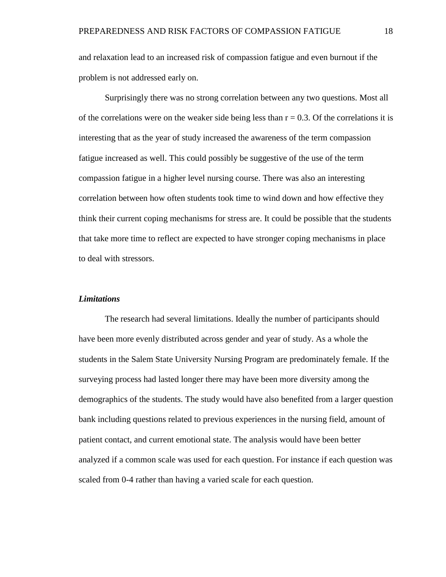and relaxation lead to an increased risk of compassion fatigue and even burnout if the problem is not addressed early on.

Surprisingly there was no strong correlation between any two questions. Most all of the correlations were on the weaker side being less than  $r = 0.3$ . Of the correlations it is interesting that as the year of study increased the awareness of the term compassion fatigue increased as well. This could possibly be suggestive of the use of the term compassion fatigue in a higher level nursing course. There was also an interesting correlation between how often students took time to wind down and how effective they think their current coping mechanisms for stress are. It could be possible that the students that take more time to reflect are expected to have stronger coping mechanisms in place to deal with stressors.

## *Limitations*

The research had several limitations. Ideally the number of participants should have been more evenly distributed across gender and year of study. As a whole the students in the Salem State University Nursing Program are predominately female. If the surveying process had lasted longer there may have been more diversity among the demographics of the students. The study would have also benefited from a larger question bank including questions related to previous experiences in the nursing field, amount of patient contact, and current emotional state. The analysis would have been better analyzed if a common scale was used for each question. For instance if each question was scaled from 0-4 rather than having a varied scale for each question.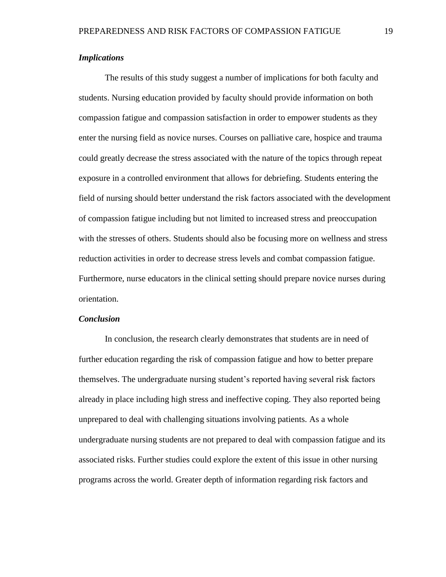# *Implications*

The results of this study suggest a number of implications for both faculty and students. Nursing education provided by faculty should provide information on both compassion fatigue and compassion satisfaction in order to empower students as they enter the nursing field as novice nurses. Courses on palliative care, hospice and trauma could greatly decrease the stress associated with the nature of the topics through repeat exposure in a controlled environment that allows for debriefing. Students entering the field of nursing should better understand the risk factors associated with the development of compassion fatigue including but not limited to increased stress and preoccupation with the stresses of others. Students should also be focusing more on wellness and stress reduction activities in order to decrease stress levels and combat compassion fatigue. Furthermore, nurse educators in the clinical setting should prepare novice nurses during orientation.

## *Conclusion*

In conclusion, the research clearly demonstrates that students are in need of further education regarding the risk of compassion fatigue and how to better prepare themselves. The undergraduate nursing student's reported having several risk factors already in place including high stress and ineffective coping. They also reported being unprepared to deal with challenging situations involving patients. As a whole undergraduate nursing students are not prepared to deal with compassion fatigue and its associated risks. Further studies could explore the extent of this issue in other nursing programs across the world. Greater depth of information regarding risk factors and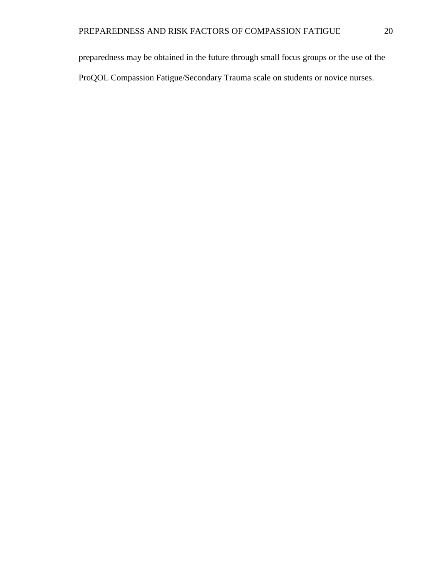preparedness may be obtained in the future through small focus groups or the use of the ProQOL Compassion Fatigue/Secondary Trauma scale on students or novice nurses.